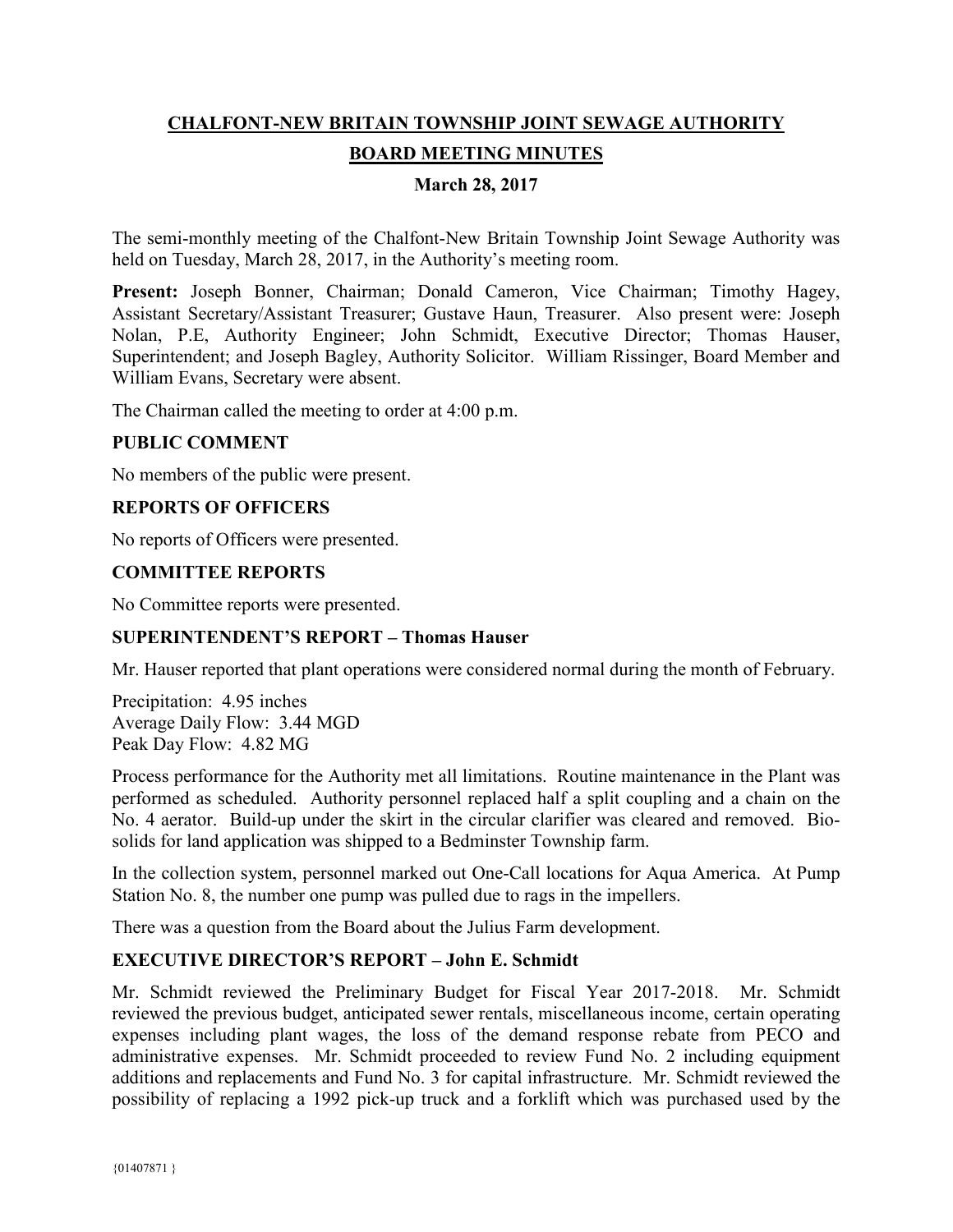# **CHALFONT-NEW BRITAIN TOWNSHIP JOINT SEWAGE AUTHORITY BOARD MEETING MINUTES**

# **March 28, 2017**

The semi-monthly meeting of the Chalfont-New Britain Township Joint Sewage Authority was held on Tuesday, March 28, 2017, in the Authority's meeting room.

Present: Joseph Bonner, Chairman; Donald Cameron, Vice Chairman; Timothy Hagey, Assistant Secretary/Assistant Treasurer; Gustave Haun, Treasurer. Also present were: Joseph Nolan, P.E, Authority Engineer; John Schmidt, Executive Director; Thomas Hauser, Superintendent; and Joseph Bagley, Authority Solicitor. William Rissinger, Board Member and William Evans, Secretary were absent.

The Chairman called the meeting to order at 4:00 p.m.

## **PUBLIC COMMENT**

No members of the public were present.

## **REPORTS OF OFFICERS**

No reports of Officers were presented.

## **COMMITTEE REPORTS**

No Committee reports were presented.

## **SUPERINTENDENT'S REPORT – Thomas Hauser**

Mr. Hauser reported that plant operations were considered normal during the month of February.

Precipitation: 4.95 inches Average Daily Flow: 3.44 MGD Peak Day Flow: 4.82 MG

Process performance for the Authority met all limitations. Routine maintenance in the Plant was performed as scheduled. Authority personnel replaced half a split coupling and a chain on the No. 4 aerator. Build-up under the skirt in the circular clarifier was cleared and removed. Biosolids for land application was shipped to a Bedminster Township farm.

In the collection system, personnel marked out One-Call locations for Aqua America. At Pump Station No. 8, the number one pump was pulled due to rags in the impellers.

There was a question from the Board about the Julius Farm development.

## **EXECUTIVE DIRECTOR'S REPORT – John E. Schmidt**

Mr. Schmidt reviewed the Preliminary Budget for Fiscal Year 2017-2018. Mr. Schmidt reviewed the previous budget, anticipated sewer rentals, miscellaneous income, certain operating expenses including plant wages, the loss of the demand response rebate from PECO and administrative expenses. Mr. Schmidt proceeded to review Fund No. 2 including equipment additions and replacements and Fund No. 3 for capital infrastructure. Mr. Schmidt reviewed the possibility of replacing a 1992 pick-up truck and a forklift which was purchased used by the